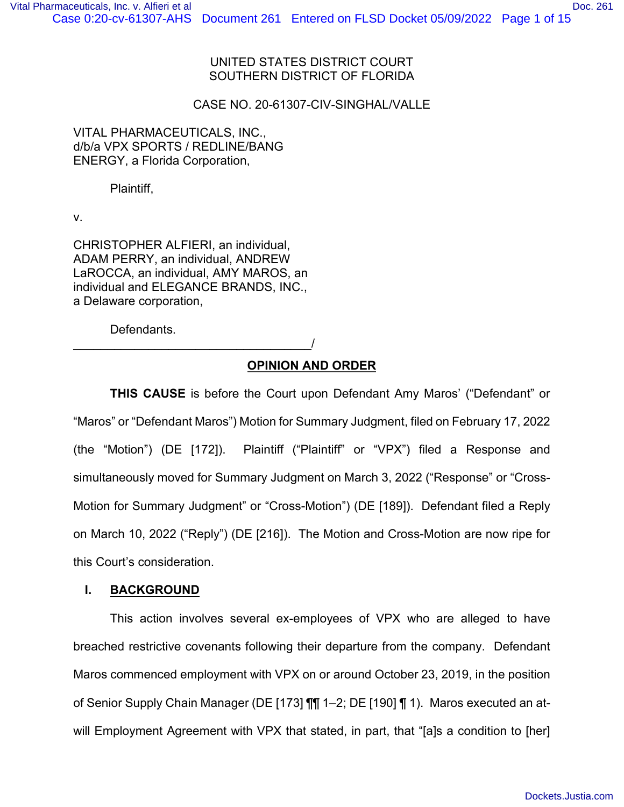## UNITED STATES DISTRICT COURT SOUTHERN DISTRICT OF FLORIDA

## CASE NO. 20-61307-CIV-SINGHAL/VALLE

## VITAL PHARMACEUTICALS, INC., d/b/a VPX SPORTS / REDLINE/BANG ENERGY, a Florida Corporation,

Plaintiff,

v.

CHRISTOPHER ALFIERI, an individual, ADAM PERRY, an individual, ANDREW LaROCCA, an individual, AMY MAROS, an individual and ELEGANCE BRANDS, INC., a Delaware corporation,

Defendants.

\_\_\_\_\_\_\_\_\_\_\_\_\_\_\_\_\_\_\_\_\_\_\_\_\_\_\_\_\_\_\_\_\_\_\_/

# **OPINION AND ORDER**

**THIS CAUSE** is before the Court upon Defendant Amy Maros' ("Defendant" or "Maros" or "Defendant Maros") Motion for Summary Judgment, filed on February 17, 2022 (the "Motion") (DE [172]). Plaintiff ("Plaintiff" or "VPX") filed a Response and simultaneously moved for Summary Judgment on March 3, 2022 ("Response" or "Cross-Motion for Summary Judgment" or "Cross-Motion") (DE [189]). Defendant filed a Reply on March 10, 2022 ("Reply") (DE [216]). The Motion and Cross-Motion are now ripe for this Court's consideration.

## **I. BACKGROUND**

This action involves several ex-employees of VPX who are alleged to have breached restrictive covenants following their departure from the company. Defendant Maros commenced employment with VPX on or around October 23, 2019, in the position of Senior Supply Chain Manager (DE [173] ¶¶ 1–2; DE [190] ¶ 1). Maros executed an atwill Employment Agreement with VPX that stated, in part, that "[a]s a condition to [her]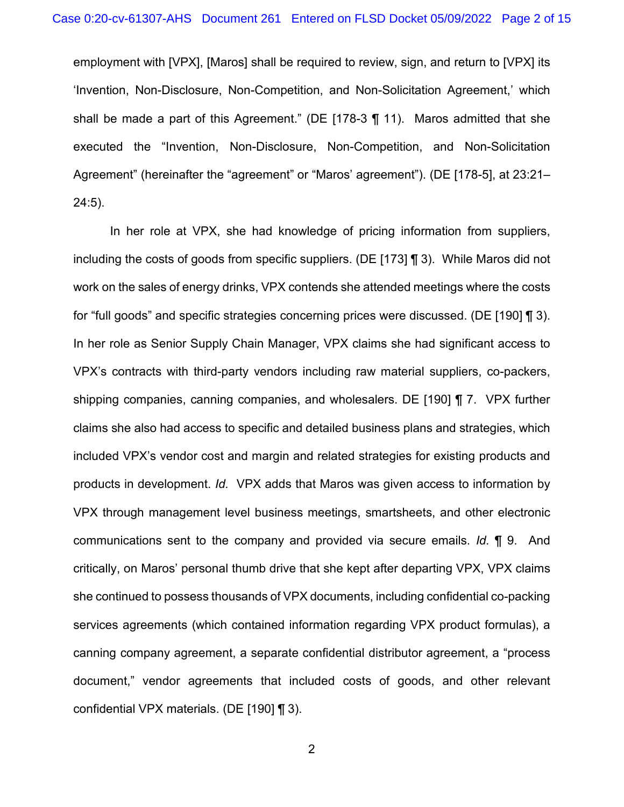employment with [VPX], [Maros] shall be required to review, sign, and return to [VPX] its 'Invention, Non-Disclosure, Non-Competition, and Non-Solicitation Agreement,' which shall be made a part of this Agreement." (DE [178-3 ¶ 11). Maros admitted that she executed the "Invention, Non-Disclosure, Non-Competition, and Non-Solicitation Agreement" (hereinafter the "agreement" or "Maros' agreement"). (DE [178-5], at 23:21– 24:5).

In her role at VPX, she had knowledge of pricing information from suppliers, including the costs of goods from specific suppliers. (DE [173] ¶ 3). While Maros did not work on the sales of energy drinks, VPX contends she attended meetings where the costs for "full goods" and specific strategies concerning prices were discussed. (DE [190] ¶ 3). In her role as Senior Supply Chain Manager, VPX claims she had significant access to VPX's contracts with third-party vendors including raw material suppliers, co-packers, shipping companies, canning companies, and wholesalers. DE [190] ¶ 7. VPX further claims she also had access to specific and detailed business plans and strategies, which included VPX's vendor cost and margin and related strategies for existing products and products in development. *Id.* VPX adds that Maros was given access to information by VPX through management level business meetings, smartsheets, and other electronic communications sent to the company and provided via secure emails. *Id.* ¶ 9. And critically, on Maros' personal thumb drive that she kept after departing VPX, VPX claims she continued to possess thousands of VPX documents, including confidential co-packing services agreements (which contained information regarding VPX product formulas), a canning company agreement, a separate confidential distributor agreement, a "process document," vendor agreements that included costs of goods, and other relevant confidential VPX materials. (DE [190] ¶ 3).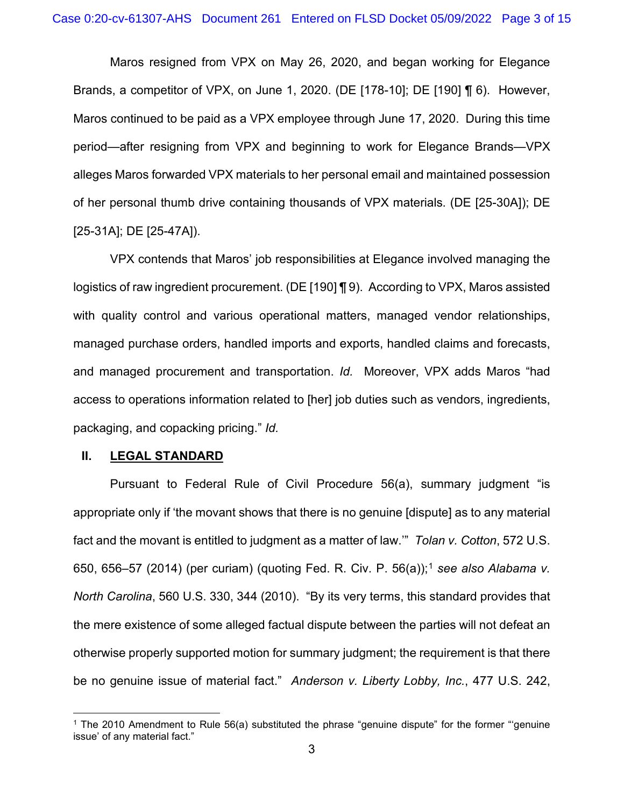Maros resigned from VPX on May 26, 2020, and began working for Elegance Brands, a competitor of VPX, on June 1, 2020. (DE [178-10]; DE [190] ¶ 6). However, Maros continued to be paid as a VPX employee through June 17, 2020. During this time period—after resigning from VPX and beginning to work for Elegance Brands—VPX alleges Maros forwarded VPX materials to her personal email and maintained possession of her personal thumb drive containing thousands of VPX materials. (DE [25-30A]); DE [25-31A]; DE [25-47A]).

VPX contends that Maros' job responsibilities at Elegance involved managing the logistics of raw ingredient procurement. (DE [190] ¶ 9). According to VPX, Maros assisted with quality control and various operational matters, managed vendor relationships, managed purchase orders, handled imports and exports, handled claims and forecasts, and managed procurement and transportation. *Id.* Moreover, VPX adds Maros "had access to operations information related to [her] job duties such as vendors, ingredients, packaging, and copacking pricing." *Id.*

### **II. LEGAL STANDARD**

Pursuant to Federal Rule of Civil Procedure 56(a), summary judgment "is appropriate only if 'the movant shows that there is no genuine [dispute] as to any material fact and the movant is entitled to judgment as a matter of law.'" *Tolan v. Cotton*, 572 U.S. 650, 656–57 (2014) (per curiam) (quoting Fed. R. Civ. P. 56(a));<sup>1</sup> *see also Alabama v. North Carolina*, 560 U.S. 330, 344 (2010). "By its very terms, this standard provides that the mere existence of some alleged factual dispute between the parties will not defeat an otherwise properly supported motion for summary judgment; the requirement is that there be no genuine issue of material fact." *Anderson v. Liberty Lobby, Inc.*, 477 U.S. 242,

<sup>1</sup> The 2010 Amendment to Rule 56(a) substituted the phrase "genuine dispute" for the former "'genuine issue' of any material fact."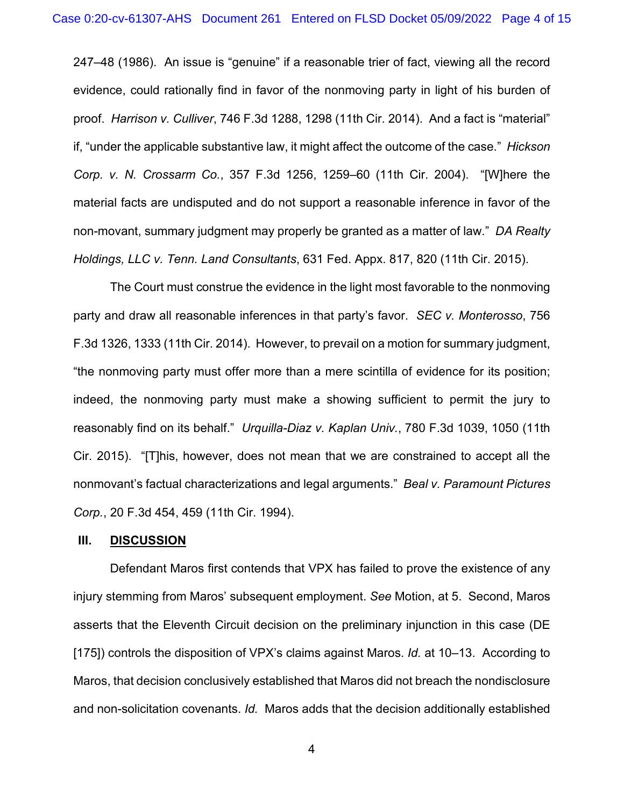247–48 (1986). An issue is "genuine" if a reasonable trier of fact, viewing all the record evidence, could rationally find in favor of the nonmoving party in light of his burden of proof. *Harrison v. Culliver*, 746 F.3d 1288, 1298 (11th Cir. 2014). And a fact is "material" if, "under the applicable substantive law, it might affect the outcome of the case." *Hickson Corp. v. N. Crossarm Co.*, 357 F.3d 1256, 1259–60 (11th Cir. 2004). "[W]here the material facts are undisputed and do not support a reasonable inference in favor of the non-movant, summary judgment may properly be granted as a matter of law." *DA Realty Holdings, LLC v. Tenn. Land Consultants*, 631 Fed. Appx. 817, 820 (11th Cir. 2015).

The Court must construe the evidence in the light most favorable to the nonmoving party and draw all reasonable inferences in that party's favor. *SEC v. Monterosso*, 756 F.3d 1326, 1333 (11th Cir. 2014). However, to prevail on a motion for summary judgment, "the nonmoving party must offer more than a mere scintilla of evidence for its position; indeed, the nonmoving party must make a showing sufficient to permit the jury to reasonably find on its behalf." *Urquilla-Diaz v. Kaplan Univ.*, 780 F.3d 1039, 1050 (11th Cir. 2015). "[T]his, however, does not mean that we are constrained to accept all the nonmovant's factual characterizations and legal arguments." *Beal v. Paramount Pictures Corp.*, 20 F.3d 454, 459 (11th Cir. 1994).

### **III. DISCUSSION**

Defendant Maros first contends that VPX has failed to prove the existence of any injury stemming from Maros' subsequent employment. *See* Motion, at 5. Second, Maros asserts that the Eleventh Circuit decision on the preliminary injunction in this case (DE [175]) controls the disposition of VPX's claims against Maros. *Id.* at 10–13. According to Maros, that decision conclusively established that Maros did not breach the nondisclosure and non-solicitation covenants. *Id.* Maros adds that the decision additionally established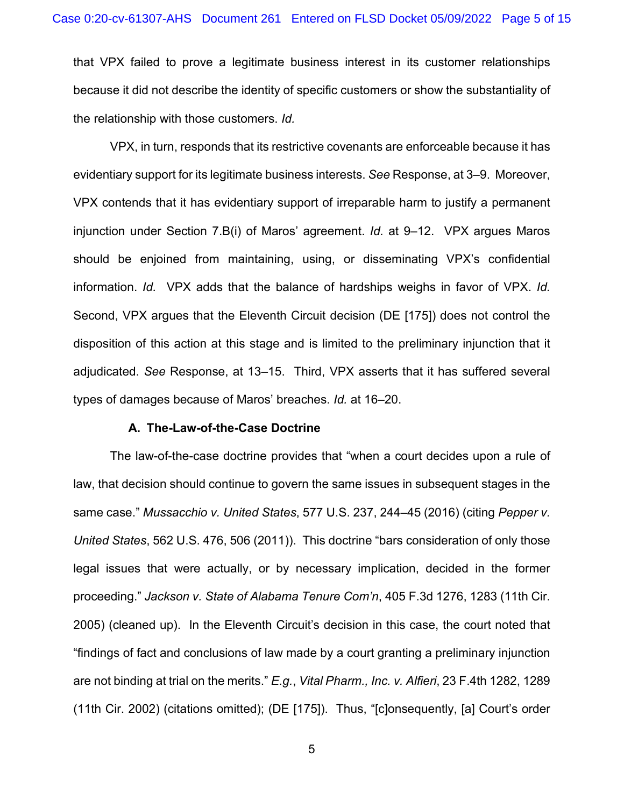that VPX failed to prove a legitimate business interest in its customer relationships because it did not describe the identity of specific customers or show the substantiality of the relationship with those customers. *Id.*

VPX, in turn, responds that its restrictive covenants are enforceable because it has evidentiary support for its legitimate business interests. *See* Response, at 3–9. Moreover, VPX contends that it has evidentiary support of irreparable harm to justify a permanent injunction under Section 7.B(i) of Maros' agreement. *Id.* at 9–12. VPX argues Maros should be enjoined from maintaining, using, or disseminating VPX's confidential information. *Id.* VPX adds that the balance of hardships weighs in favor of VPX. *Id.* Second, VPX argues that the Eleventh Circuit decision (DE [175]) does not control the disposition of this action at this stage and is limited to the preliminary injunction that it adjudicated. *See* Response, at 13–15. Third, VPX asserts that it has suffered several types of damages because of Maros' breaches. *Id.* at 16–20.

### **A. The-Law-of-the-Case Doctrine**

The law-of-the-case doctrine provides that "when a court decides upon a rule of law, that decision should continue to govern the same issues in subsequent stages in the same case." *Mussacchio v. United States*, 577 U.S. 237, 244–45 (2016) (citing *Pepper v. United States*, 562 U.S. 476, 506 (2011)). This doctrine "bars consideration of only those legal issues that were actually, or by necessary implication, decided in the former proceeding." *Jackson v. State of Alabama Tenure Com'n*, 405 F.3d 1276, 1283 (11th Cir. 2005) (cleaned up). In the Eleventh Circuit's decision in this case, the court noted that "findings of fact and conclusions of law made by a court granting a preliminary injunction are not binding at trial on the merits." *E.g.*, *Vital Pharm., Inc. v. Alfieri*, 23 F.4th 1282, 1289 (11th Cir. 2002) (citations omitted); (DE [175]). Thus, "[c]onsequently, [a] Court's order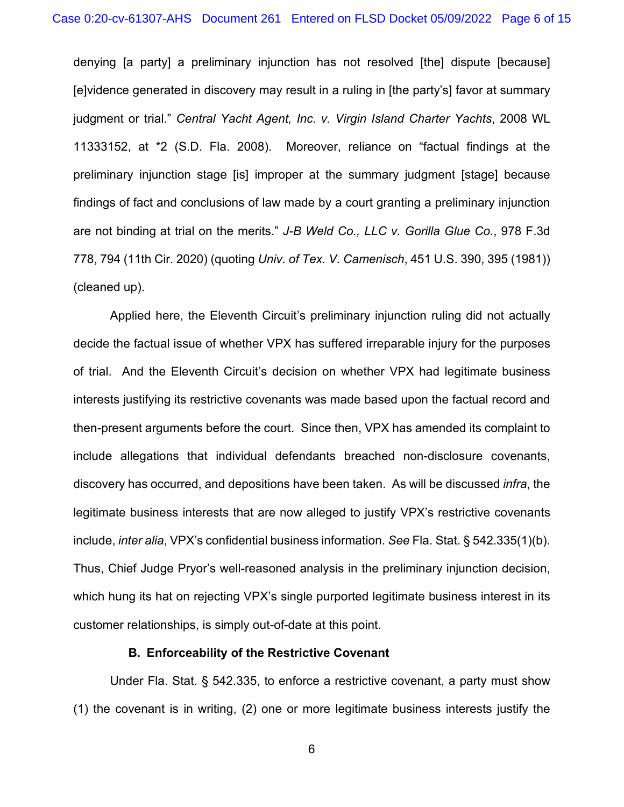denying [a party] a preliminary injunction has not resolved [the] dispute [because] [e]vidence generated in discovery may result in a ruling in [the party's] favor at summary judgment or trial." *Central Yacht Agent, Inc. v. Virgin Island Charter Yachts*, 2008 WL 11333152, at \*2 (S.D. Fla. 2008). Moreover, reliance on "factual findings at the preliminary injunction stage [is] improper at the summary judgment [stage] because findings of fact and conclusions of law made by a court granting a preliminary injunction are not binding at trial on the merits." *J-B Weld Co., LLC v. Gorilla Glue Co.*, 978 F.3d 778, 794 (11th Cir. 2020) (quoting *Univ. of Tex. V. Camenisch*, 451 U.S. 390, 395 (1981)) (cleaned up).

Applied here, the Eleventh Circuit's preliminary injunction ruling did not actually decide the factual issue of whether VPX has suffered irreparable injury for the purposes of trial. And the Eleventh Circuit's decision on whether VPX had legitimate business interests justifying its restrictive covenants was made based upon the factual record and then-present arguments before the court. Since then, VPX has amended its complaint to include allegations that individual defendants breached non-disclosure covenants, discovery has occurred, and depositions have been taken. As will be discussed *infra*, the legitimate business interests that are now alleged to justify VPX's restrictive covenants include, *inter alia*, VPX's confidential business information. *See* Fla. Stat. § 542.335(1)(b). Thus, Chief Judge Pryor's well-reasoned analysis in the preliminary injunction decision, which hung its hat on rejecting VPX's single purported legitimate business interest in its customer relationships, is simply out-of-date at this point.

## **B. Enforceability of the Restrictive Covenant**

Under Fla. Stat. § 542.335, to enforce a restrictive covenant, a party must show (1) the covenant is in writing, (2) one or more legitimate business interests justify the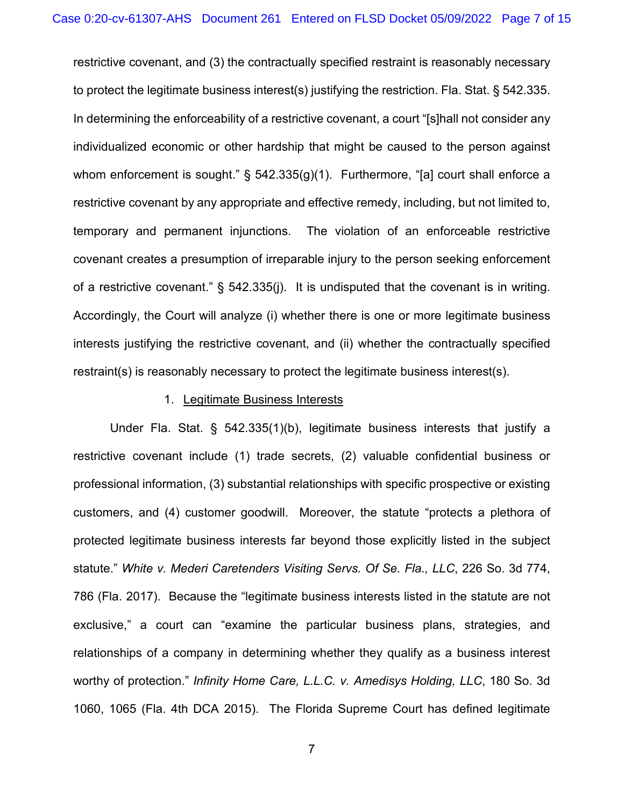restrictive covenant, and (3) the contractually specified restraint is reasonably necessary to protect the legitimate business interest(s) justifying the restriction. Fla. Stat. § 542.335. In determining the enforceability of a restrictive covenant, a court "[s]hall not consider any individualized economic or other hardship that might be caused to the person against whom enforcement is sought."  $\S$  542.335(g)(1). Furthermore, "[a] court shall enforce a restrictive covenant by any appropriate and effective remedy, including, but not limited to, temporary and permanent injunctions. The violation of an enforceable restrictive covenant creates a presumption of irreparable injury to the person seeking enforcement of a restrictive covenant." § 542.335(j). It is undisputed that the covenant is in writing. Accordingly, the Court will analyze (i) whether there is one or more legitimate business interests justifying the restrictive covenant, and (ii) whether the contractually specified restraint(s) is reasonably necessary to protect the legitimate business interest(s).

### 1. Legitimate Business Interests

Under Fla. Stat. § 542.335(1)(b), legitimate business interests that justify a restrictive covenant include (1) trade secrets, (2) valuable confidential business or professional information, (3) substantial relationships with specific prospective or existing customers, and (4) customer goodwill. Moreover, the statute "protects a plethora of protected legitimate business interests far beyond those explicitly listed in the subject statute." *White v. Mederi Caretenders Visiting Servs. Of Se. Fla., LLC*, 226 So. 3d 774, 786 (Fla. 2017). Because the "legitimate business interests listed in the statute are not exclusive," a court can "examine the particular business plans, strategies, and relationships of a company in determining whether they qualify as a business interest worthy of protection." *Infinity Home Care, L.L.C. v. Amedisys Holding, LLC*, 180 So. 3d 1060, 1065 (Fla. 4th DCA 2015). The Florida Supreme Court has defined legitimate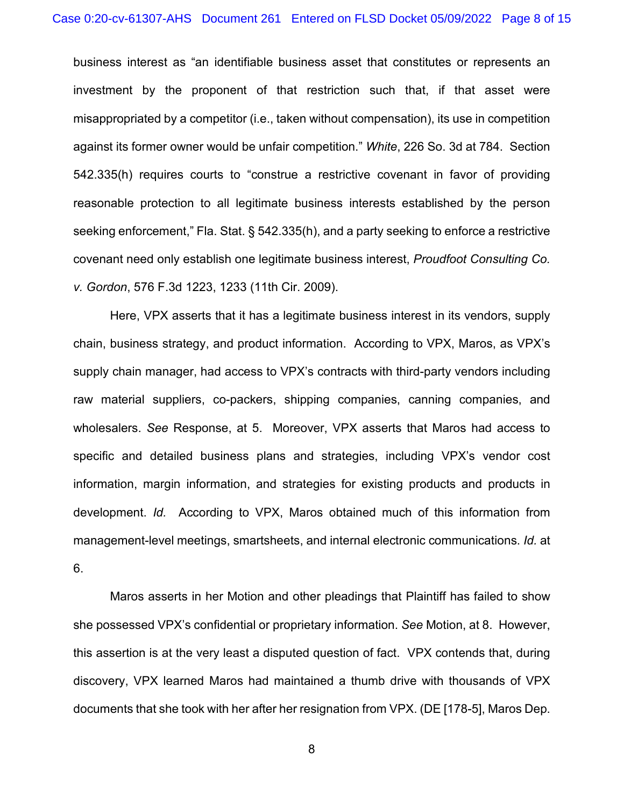business interest as "an identifiable business asset that constitutes or represents an investment by the proponent of that restriction such that, if that asset were misappropriated by a competitor (i.e., taken without compensation), its use in competition against its former owner would be unfair competition." *White*, 226 So. 3d at 784. Section 542.335(h) requires courts to "construe a restrictive covenant in favor of providing reasonable protection to all legitimate business interests established by the person seeking enforcement," Fla. Stat. § 542.335(h), and a party seeking to enforce a restrictive covenant need only establish one legitimate business interest, *Proudfoot Consulting Co. v. Gordon*, 576 F.3d 1223, 1233 (11th Cir. 2009).

Here, VPX asserts that it has a legitimate business interest in its vendors, supply chain, business strategy, and product information. According to VPX, Maros, as VPX's supply chain manager, had access to VPX's contracts with third-party vendors including raw material suppliers, co-packers, shipping companies, canning companies, and wholesalers. *See* Response, at 5. Moreover, VPX asserts that Maros had access to specific and detailed business plans and strategies, including VPX's vendor cost information, margin information, and strategies for existing products and products in development. *Id.* According to VPX, Maros obtained much of this information from management-level meetings, smartsheets, and internal electronic communications. *Id.* at 6.

Maros asserts in her Motion and other pleadings that Plaintiff has failed to show she possessed VPX's confidential or proprietary information. *See* Motion, at 8. However, this assertion is at the very least a disputed question of fact. VPX contends that, during discovery, VPX learned Maros had maintained a thumb drive with thousands of VPX documents that she took with her after her resignation from VPX. (DE [178-5], Maros Dep.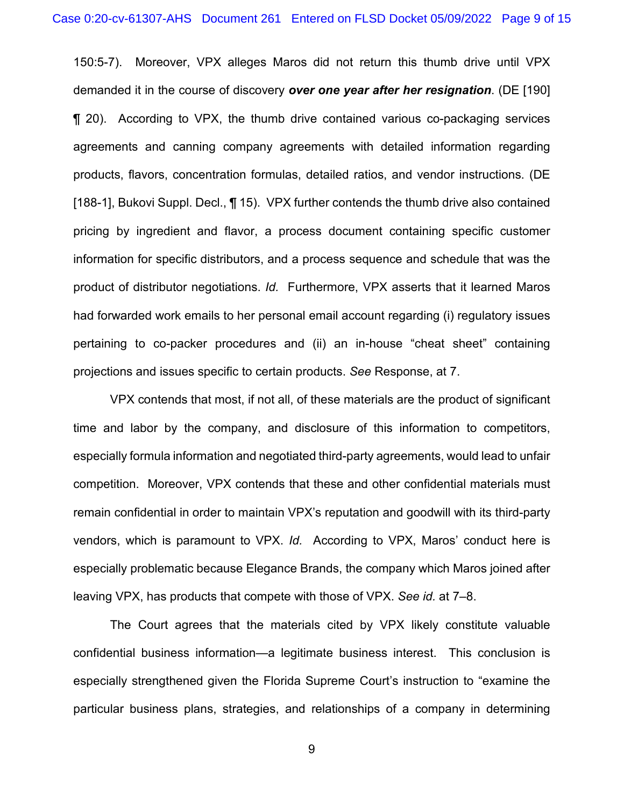150:5-7). Moreover, VPX alleges Maros did not return this thumb drive until VPX demanded it in the course of discovery *over one year after her resignation*. (DE [190] ¶ 20). According to VPX, the thumb drive contained various co-packaging services agreements and canning company agreements with detailed information regarding products, flavors, concentration formulas, detailed ratios, and vendor instructions. (DE [188-1], Bukovi Suppl. Decl., 1 15). VPX further contends the thumb drive also contained pricing by ingredient and flavor, a process document containing specific customer information for specific distributors, and a process sequence and schedule that was the product of distributor negotiations. *Id.* Furthermore, VPX asserts that it learned Maros had forwarded work emails to her personal email account regarding (i) regulatory issues pertaining to co-packer procedures and (ii) an in-house "cheat sheet" containing projections and issues specific to certain products. *See* Response, at 7.

VPX contends that most, if not all, of these materials are the product of significant time and labor by the company, and disclosure of this information to competitors, especially formula information and negotiated third-party agreements, would lead to unfair competition. Moreover, VPX contends that these and other confidential materials must remain confidential in order to maintain VPX's reputation and goodwill with its third-party vendors, which is paramount to VPX. *Id.* According to VPX, Maros' conduct here is especially problematic because Elegance Brands, the company which Maros joined after leaving VPX, has products that compete with those of VPX. *See id.* at 7–8.

The Court agrees that the materials cited by VPX likely constitute valuable confidential business information—a legitimate business interest. This conclusion is especially strengthened given the Florida Supreme Court's instruction to "examine the particular business plans, strategies, and relationships of a company in determining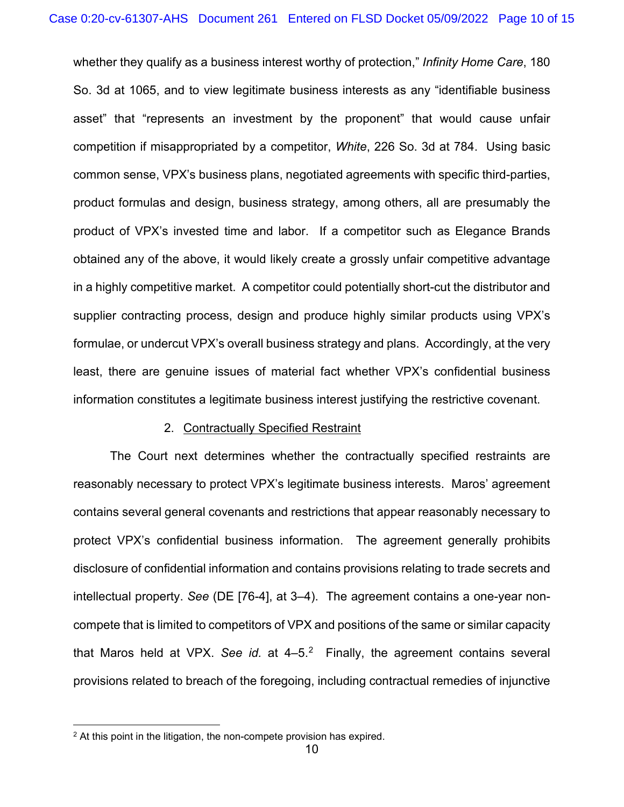whether they qualify as a business interest worthy of protection," *Infinity Home Care*, 180 So. 3d at 1065, and to view legitimate business interests as any "identifiable business asset" that "represents an investment by the proponent" that would cause unfair competition if misappropriated by a competitor, *White*, 226 So. 3d at 784. Using basic common sense, VPX's business plans, negotiated agreements with specific third-parties, product formulas and design, business strategy, among others, all are presumably the product of VPX's invested time and labor. If a competitor such as Elegance Brands obtained any of the above, it would likely create a grossly unfair competitive advantage in a highly competitive market. A competitor could potentially short-cut the distributor and supplier contracting process, design and produce highly similar products using VPX's formulae, or undercut VPX's overall business strategy and plans. Accordingly, at the very least, there are genuine issues of material fact whether VPX's confidential business information constitutes a legitimate business interest justifying the restrictive covenant.

#### 2. Contractually Specified Restraint

The Court next determines whether the contractually specified restraints are reasonably necessary to protect VPX's legitimate business interests. Maros' agreement contains several general covenants and restrictions that appear reasonably necessary to protect VPX's confidential business information. The agreement generally prohibits disclosure of confidential information and contains provisions relating to trade secrets and intellectual property. *See* (DE [76-4], at 3–4). The agreement contains a one-year noncompete that is limited to competitors of VPX and positions of the same or similar capacity that Maros held at VPX. See id. at 4–5.<sup>2</sup> Finally, the agreement contains several provisions related to breach of the foregoing, including contractual remedies of injunctive

<sup>&</sup>lt;sup>2</sup> At this point in the litigation, the non-compete provision has expired.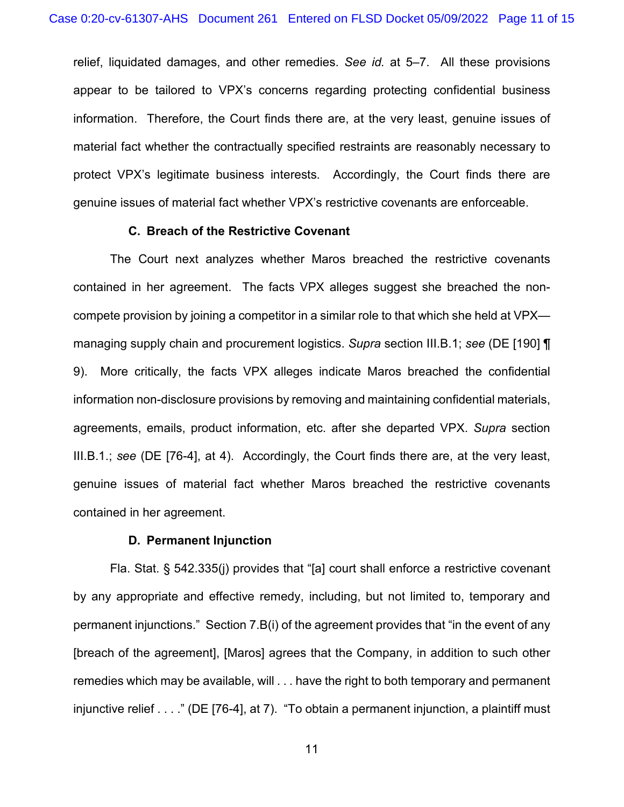relief, liquidated damages, and other remedies. *See id.* at 5–7. All these provisions appear to be tailored to VPX's concerns regarding protecting confidential business information. Therefore, the Court finds there are, at the very least, genuine issues of material fact whether the contractually specified restraints are reasonably necessary to protect VPX's legitimate business interests. Accordingly, the Court finds there are genuine issues of material fact whether VPX's restrictive covenants are enforceable.

## **C. Breach of the Restrictive Covenant**

The Court next analyzes whether Maros breached the restrictive covenants contained in her agreement. The facts VPX alleges suggest she breached the noncompete provision by joining a competitor in a similar role to that which she held at VPX managing supply chain and procurement logistics. *Supra* section III.B.1; *see* (DE [190] ¶ 9). More critically, the facts VPX alleges indicate Maros breached the confidential information non-disclosure provisions by removing and maintaining confidential materials, agreements, emails, product information, etc. after she departed VPX. *Supra* section III.B.1.; *see* (DE [76-4], at 4). Accordingly, the Court finds there are, at the very least, genuine issues of material fact whether Maros breached the restrictive covenants contained in her agreement.

### **D. Permanent Injunction**

Fla. Stat. § 542.335(j) provides that "[a] court shall enforce a restrictive covenant by any appropriate and effective remedy, including, but not limited to, temporary and permanent injunctions." Section 7.B(i) of the agreement provides that "in the event of any [breach of the agreement], [Maros] agrees that the Company, in addition to such other remedies which may be available, will . . . have the right to both temporary and permanent injunctive relief . . . ." (DE [76-4], at 7). "To obtain a permanent injunction, a plaintiff must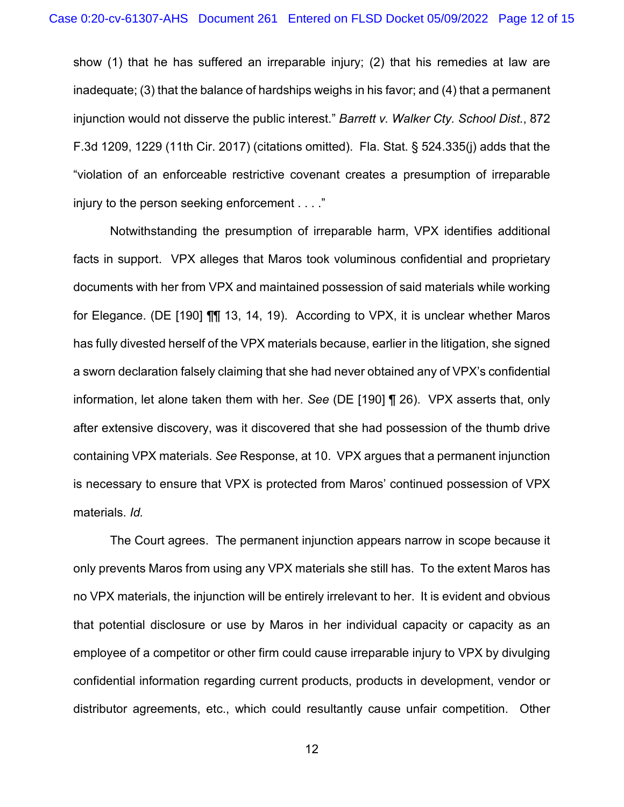show (1) that he has suffered an irreparable injury; (2) that his remedies at law are inadequate; (3) that the balance of hardships weighs in his favor; and (4) that a permanent injunction would not disserve the public interest." *Barrett v. Walker Cty. School Dist.*, 872 F.3d 1209, 1229 (11th Cir. 2017) (citations omitted). Fla. Stat. § 524.335(j) adds that the "violation of an enforceable restrictive covenant creates a presumption of irreparable injury to the person seeking enforcement . . . ."

Notwithstanding the presumption of irreparable harm, VPX identifies additional facts in support. VPX alleges that Maros took voluminous confidential and proprietary documents with her from VPX and maintained possession of said materials while working for Elegance. (DE [190] ¶¶ 13, 14, 19). According to VPX, it is unclear whether Maros has fully divested herself of the VPX materials because, earlier in the litigation, she signed a sworn declaration falsely claiming that she had never obtained any of VPX's confidential information, let alone taken them with her. *See* (DE [190] ¶ 26). VPX asserts that, only after extensive discovery, was it discovered that she had possession of the thumb drive containing VPX materials. *See* Response, at 10. VPX argues that a permanent injunction is necessary to ensure that VPX is protected from Maros' continued possession of VPX materials. *Id.*

The Court agrees. The permanent injunction appears narrow in scope because it only prevents Maros from using any VPX materials she still has. To the extent Maros has no VPX materials, the injunction will be entirely irrelevant to her. It is evident and obvious that potential disclosure or use by Maros in her individual capacity or capacity as an employee of a competitor or other firm could cause irreparable injury to VPX by divulging confidential information regarding current products, products in development, vendor or distributor agreements, etc., which could resultantly cause unfair competition. Other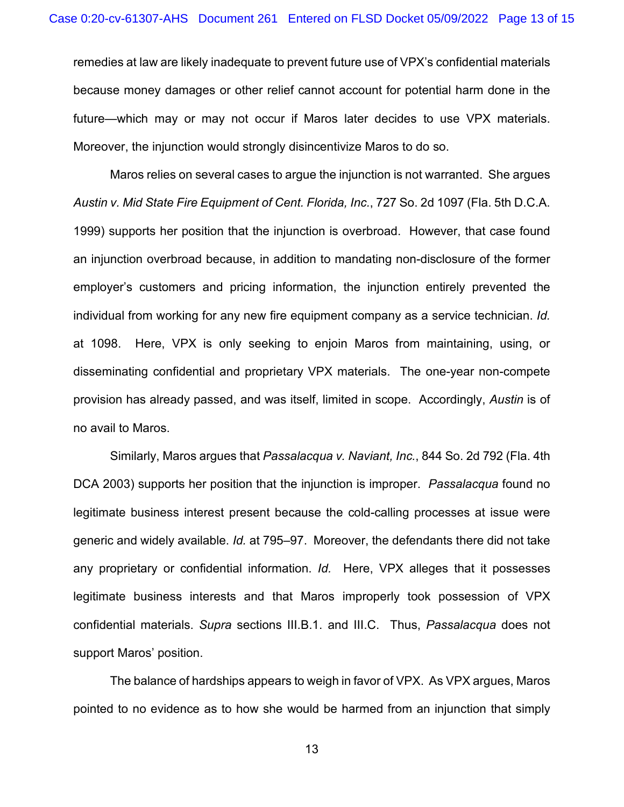remedies at law are likely inadequate to prevent future use of VPX's confidential materials because money damages or other relief cannot account for potential harm done in the future—which may or may not occur if Maros later decides to use VPX materials. Moreover, the injunction would strongly disincentivize Maros to do so.

Maros relies on several cases to argue the injunction is not warranted. She argues *Austin v. Mid State Fire Equipment of Cent. Florida, Inc.*, 727 So. 2d 1097 (Fla. 5th D.C.A. 1999) supports her position that the injunction is overbroad. However, that case found an injunction overbroad because, in addition to mandating non-disclosure of the former employer's customers and pricing information, the injunction entirely prevented the individual from working for any new fire equipment company as a service technician. *Id.* at 1098. Here, VPX is only seeking to enjoin Maros from maintaining, using, or disseminating confidential and proprietary VPX materials. The one-year non-compete provision has already passed, and was itself, limited in scope. Accordingly, *Austin* is of no avail to Maros.

Similarly, Maros argues that *Passalacqua v. Naviant, Inc.*, 844 So. 2d 792 (Fla. 4th DCA 2003) supports her position that the injunction is improper. *Passalacqua* found no legitimate business interest present because the cold-calling processes at issue were generic and widely available. *Id.* at 795–97. Moreover, the defendants there did not take any proprietary or confidential information. *Id.* Here, VPX alleges that it possesses legitimate business interests and that Maros improperly took possession of VPX confidential materials. *Supra* sections III.B.1. and III.C. Thus, *Passalacqua* does not support Maros' position.

The balance of hardships appears to weigh in favor of VPX. As VPX argues, Maros pointed to no evidence as to how she would be harmed from an injunction that simply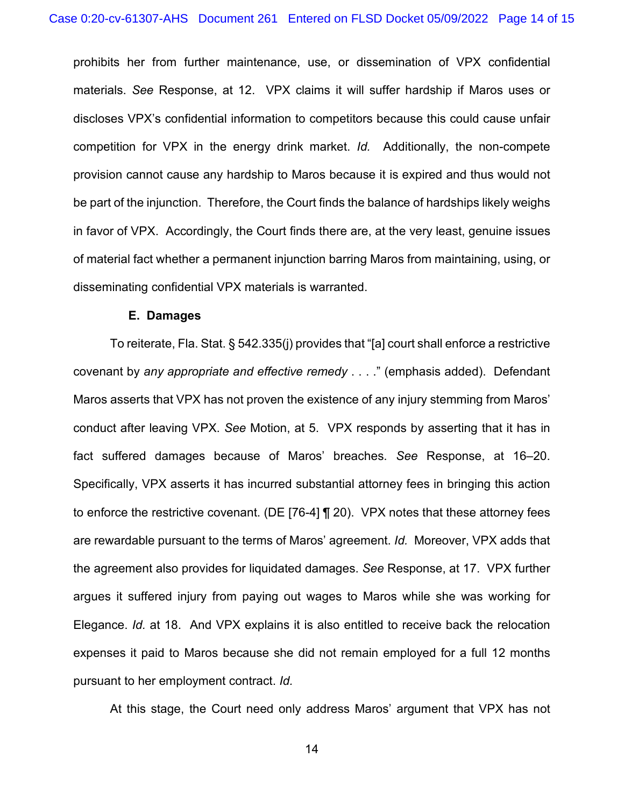prohibits her from further maintenance, use, or dissemination of VPX confidential materials. *See* Response, at 12. VPX claims it will suffer hardship if Maros uses or discloses VPX's confidential information to competitors because this could cause unfair competition for VPX in the energy drink market. *Id.* Additionally, the non-compete provision cannot cause any hardship to Maros because it is expired and thus would not be part of the injunction. Therefore, the Court finds the balance of hardships likely weighs in favor of VPX. Accordingly, the Court finds there are, at the very least, genuine issues of material fact whether a permanent injunction barring Maros from maintaining, using, or disseminating confidential VPX materials is warranted.

#### **E. Damages**

To reiterate, Fla. Stat. § 542.335(j) provides that "[a] court shall enforce a restrictive covenant by *any appropriate and effective remedy* . . . ." (emphasis added). Defendant Maros asserts that VPX has not proven the existence of any injury stemming from Maros' conduct after leaving VPX. *See* Motion, at 5. VPX responds by asserting that it has in fact suffered damages because of Maros' breaches. *See* Response, at 16–20. Specifically, VPX asserts it has incurred substantial attorney fees in bringing this action to enforce the restrictive covenant. (DE [76-4] ¶ 20). VPX notes that these attorney fees are rewardable pursuant to the terms of Maros' agreement. *Id.* Moreover, VPX adds that the agreement also provides for liquidated damages. *See* Response, at 17. VPX further argues it suffered injury from paying out wages to Maros while she was working for Elegance. *Id.* at 18. And VPX explains it is also entitled to receive back the relocation expenses it paid to Maros because she did not remain employed for a full 12 months pursuant to her employment contract. *Id.*

At this stage, the Court need only address Maros' argument that VPX has not